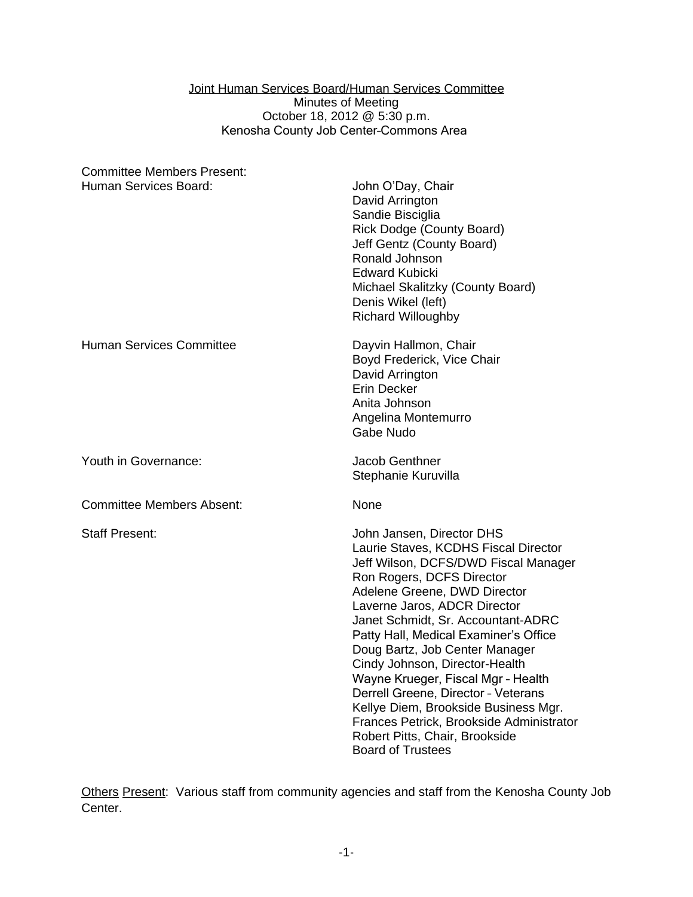Joint Human Services Board/Human Services Committee Minutes of Meeting October 18, 2012 @ 5:30 p.m. Kenosha County Job Center–Commons Area

| <b>Committee Members Present:</b> |                                                                                                                                                                                                                                                                                                                                                                                                                                                                                                                                                                                          |
|-----------------------------------|------------------------------------------------------------------------------------------------------------------------------------------------------------------------------------------------------------------------------------------------------------------------------------------------------------------------------------------------------------------------------------------------------------------------------------------------------------------------------------------------------------------------------------------------------------------------------------------|
| Human Services Board:             | John O'Day, Chair<br>David Arrington<br>Sandie Bisciglia<br><b>Rick Dodge (County Board)</b><br>Jeff Gentz (County Board)<br>Ronald Johnson<br><b>Edward Kubicki</b><br>Michael Skalitzky (County Board)<br>Denis Wikel (left)<br><b>Richard Willoughby</b>                                                                                                                                                                                                                                                                                                                              |
| <b>Human Services Committee</b>   | Dayvin Hallmon, Chair<br>Boyd Frederick, Vice Chair<br>David Arrington<br>Erin Decker<br>Anita Johnson<br>Angelina Montemurro<br>Gabe Nudo                                                                                                                                                                                                                                                                                                                                                                                                                                               |
| Youth in Governance:              | <b>Jacob Genthner</b><br>Stephanie Kuruvilla                                                                                                                                                                                                                                                                                                                                                                                                                                                                                                                                             |
| <b>Committee Members Absent:</b>  | None                                                                                                                                                                                                                                                                                                                                                                                                                                                                                                                                                                                     |
| <b>Staff Present:</b>             | John Jansen, Director DHS<br>Laurie Staves, KCDHS Fiscal Director<br>Jeff Wilson, DCFS/DWD Fiscal Manager<br>Ron Rogers, DCFS Director<br>Adelene Greene, DWD Director<br>Laverne Jaros, ADCR Director<br>Janet Schmidt, Sr. Accountant-ADRC<br>Patty Hall, Medical Examiner's Office<br>Doug Bartz, Job Center Manager<br>Cindy Johnson, Director-Health<br>Wayne Krueger, Fiscal Mgr - Health<br>Derrell Greene, Director - Veterans<br>Kellye Diem, Brookside Business Mgr.<br>Frances Petrick, Brookside Administrator<br>Robert Pitts, Chair, Brookside<br><b>Board of Trustees</b> |

Others Present: Various staff from community agencies and staff from the Kenosha County Job Center.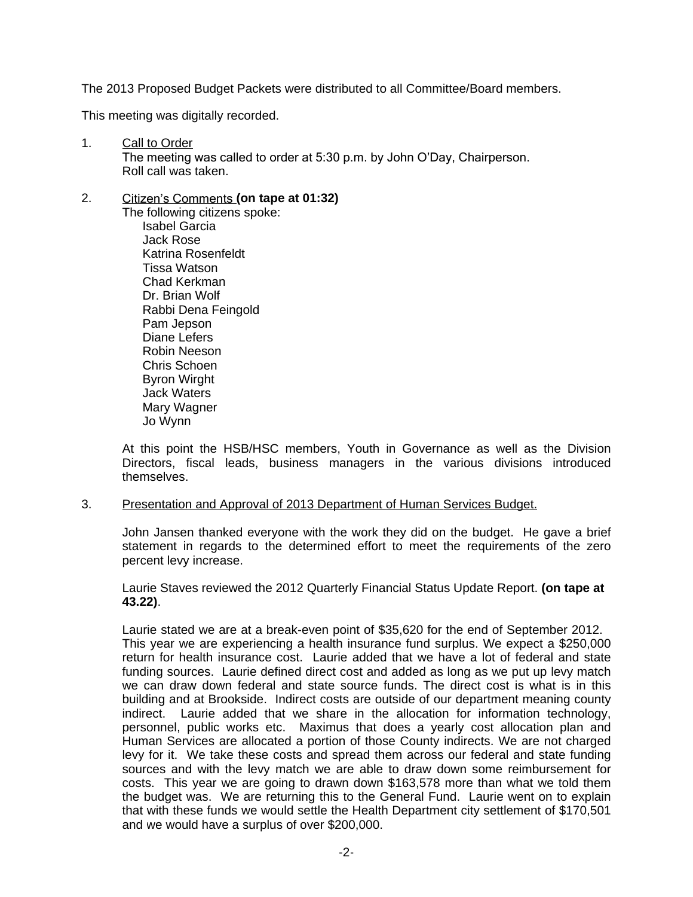The 2013 Proposed Budget Packets were distributed to all Committee/Board members.

This meeting was digitally recorded.

1. Call to Order The meeting was called to order at 5:30 p.m. by John O'Day, Chairperson. Roll call was taken.

# 2. Citizen's Comments **(on tape at 01:32)**

The following citizens spoke: Isabel Garcia Jack Rose Katrina Rosenfeldt Tissa Watson Chad Kerkman Dr. Brian Wolf Rabbi Dena Feingold Pam Jepson Diane Lefers Robin Neeson Chris Schoen Byron Wirght Jack Waters Mary Wagner Jo Wynn

At this point the HSB/HSC members, Youth in Governance as well as the Division Directors, fiscal leads, business managers in the various divisions introduced themselves.

3. Presentation and Approval of 2013 Department of Human Services Budget.

John Jansen thanked everyone with the work they did on the budget. He gave a brief statement in regards to the determined effort to meet the requirements of the zero percent levy increase.

Laurie Staves reviewed the 2012 Quarterly Financial Status Update Report. **(on tape at 43.22)**.

Laurie stated we are at a break-even point of \$35,620 for the end of September 2012. This year we are experiencing a health insurance fund surplus. We expect a \$250,000 return for health insurance cost. Laurie added that we have a lot of federal and state funding sources. Laurie defined direct cost and added as long as we put up levy match we can draw down federal and state source funds. The direct cost is what is in this building and at Brookside. Indirect costs are outside of our department meaning county indirect. Laurie added that we share in the allocation for information technology, personnel, public works etc. Maximus that does a yearly cost allocation plan and Human Services are allocated a portion of those County indirects. We are not charged levy for it. We take these costs and spread them across our federal and state funding sources and with the levy match we are able to draw down some reimbursement for costs. This year we are going to drawn down \$163,578 more than what we told them the budget was. We are returning this to the General Fund. Laurie went on to explain that with these funds we would settle the Health Department city settlement of \$170,501 and we would have a surplus of over \$200,000.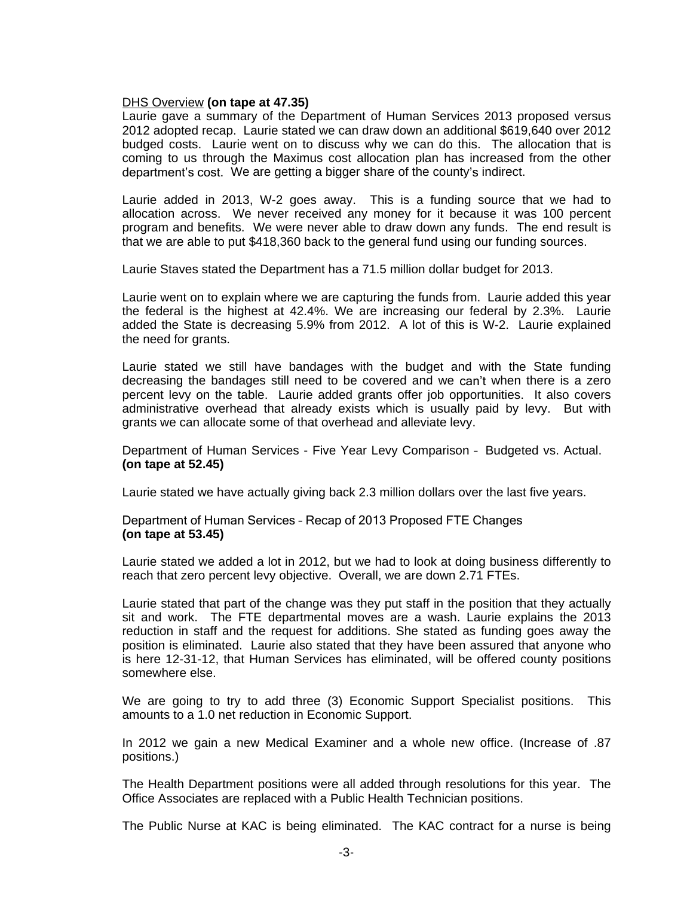## DHS Overview **(on tape at 47.35)**

Laurie gave a summary of the Department of Human Services 2013 proposed versus 2012 adopted recap. Laurie stated we can draw down an additional \$619,640 over 2012 budged costs. Laurie went on to discuss why we can do this. The allocation that is coming to us through the Maximus cost allocation plan has increased from the other department's cost. We are getting a bigger share of the county's indirect.

Laurie added in 2013, W-2 goes away. This is a funding source that we had to allocation across. We never received any money for it because it was 100 percent program and benefits. We were never able to draw down any funds. The end result is that we are able to put \$418,360 back to the general fund using our funding sources.

Laurie Staves stated the Department has a 71.5 million dollar budget for 2013.

Laurie went on to explain where we are capturing the funds from. Laurie added this year the federal is the highest at 42.4%. We are increasing our federal by 2.3%. Laurie added the State is decreasing 5.9% from 2012. A lot of this is W-2. Laurie explained the need for grants.

Laurie stated we still have bandages with the budget and with the State funding decreasing the bandages still need to be covered and we can't when there is a zero percent levy on the table. Laurie added grants offer job opportunities. It also covers administrative overhead that already exists which is usually paid by levy. But with grants we can allocate some of that overhead and alleviate levy.

Department of Human Services - Five Year Levy Comparison – Budgeted vs. Actual. **(on tape at 52.45)**

Laurie stated we have actually giving back 2.3 million dollars over the last five years.

Department of Human Services – Recap of 2013 Proposed FTE Changes **(on tape at 53.45)**

Laurie stated we added a lot in 2012, but we had to look at doing business differently to reach that zero percent levy objective. Overall, we are down 2.71 FTEs.

Laurie stated that part of the change was they put staff in the position that they actually sit and work. The FTE departmental moves are a wash. Laurie explains the 2013 reduction in staff and the request for additions. She stated as funding goes away the position is eliminated. Laurie also stated that they have been assured that anyone who is here 12-31-12, that Human Services has eliminated, will be offered county positions somewhere else.

We are going to try to add three (3) Economic Support Specialist positions. This amounts to a 1.0 net reduction in Economic Support.

In 2012 we gain a new Medical Examiner and a whole new office. (Increase of .87 positions.)

The Health Department positions were all added through resolutions for this year. The Office Associates are replaced with a Public Health Technician positions.

The Public Nurse at KAC is being eliminated. The KAC contract for a nurse is being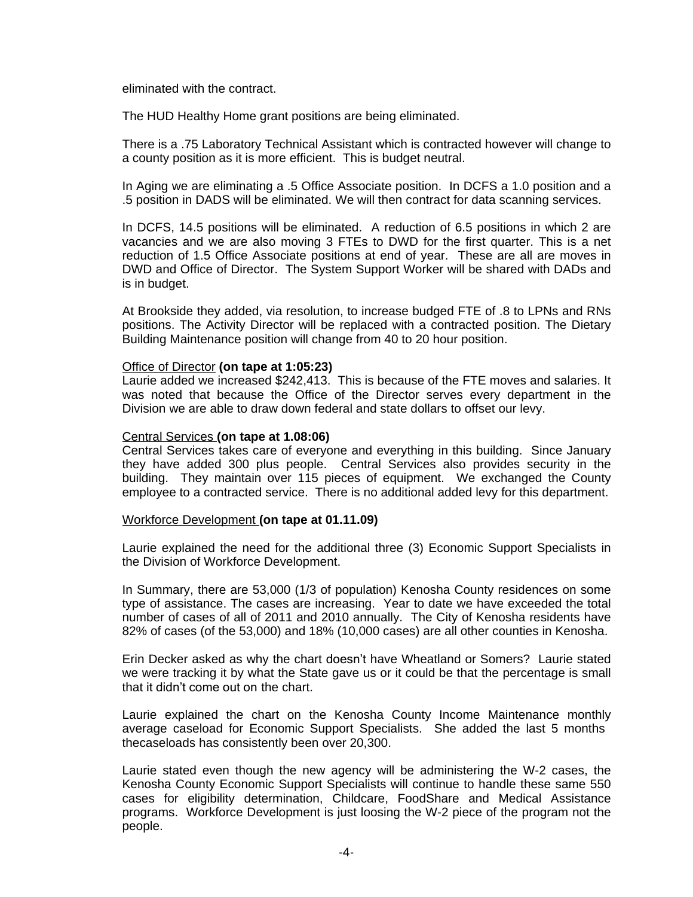eliminated with the contract.

The HUD Healthy Home grant positions are being eliminated.

There is a .75 Laboratory Technical Assistant which is contracted however will change to a county position as it is more efficient. This is budget neutral.

In Aging we are eliminating a .5 Office Associate position. In DCFS a 1.0 position and a .5 position in DADS will be eliminated. We will then contract for data scanning services.

In DCFS, 14.5 positions will be eliminated. A reduction of 6.5 positions in which 2 are vacancies and we are also moving 3 FTEs to DWD for the first quarter. This is a net reduction of 1.5 Office Associate positions at end of year. These are all are moves in DWD and Office of Director. The System Support Worker will be shared with DADs and is in budget.

At Brookside they added, via resolution, to increase budged FTE of .8 to LPNs and RNs positions. The Activity Director will be replaced with a contracted position. The Dietary Building Maintenance position will change from 40 to 20 hour position.

#### Office of Director **(on tape at 1:05:23)**

Laurie added we increased \$242,413. This is because of the FTE moves and salaries. It was noted that because the Office of the Director serves every department in the Division we are able to draw down federal and state dollars to offset our levy.

## Central Services **(on tape at 1.08:06)**

Central Services takes care of everyone and everything in this building. Since January they have added 300 plus people. Central Services also provides security in the building. They maintain over 115 pieces of equipment. We exchanged the County employee to a contracted service. There is no additional added levy for this department.

#### Workforce Development **(on tape at 01.11.09)**

Laurie explained the need for the additional three (3) Economic Support Specialists in the Division of Workforce Development.

In Summary, there are 53,000 (1/3 of population) Kenosha County residences on some type of assistance. The cases are increasing. Year to date we have exceeded the total number of cases of all of 2011 and 2010 annually. The City of Kenosha residents have 82% of cases (of the 53,000) and 18% (10,000 cases) are all other counties in Kenosha.

Erin Decker asked as why the chart doesn't have Wheatland or Somers? Laurie stated we were tracking it by what the State gave us or it could be that the percentage is small that it didn't come out on the chart.

Laurie explained the chart on the Kenosha County Income Maintenance monthly average caseload for Economic Support Specialists. She added the last 5 months thecaseloads has consistently been over 20,300.

Laurie stated even though the new agency will be administering the W-2 cases, the Kenosha County Economic Support Specialists will continue to handle these same 550 cases for eligibility determination, Childcare, FoodShare and Medical Assistance programs. Workforce Development is just loosing the W-2 piece of the program not the people.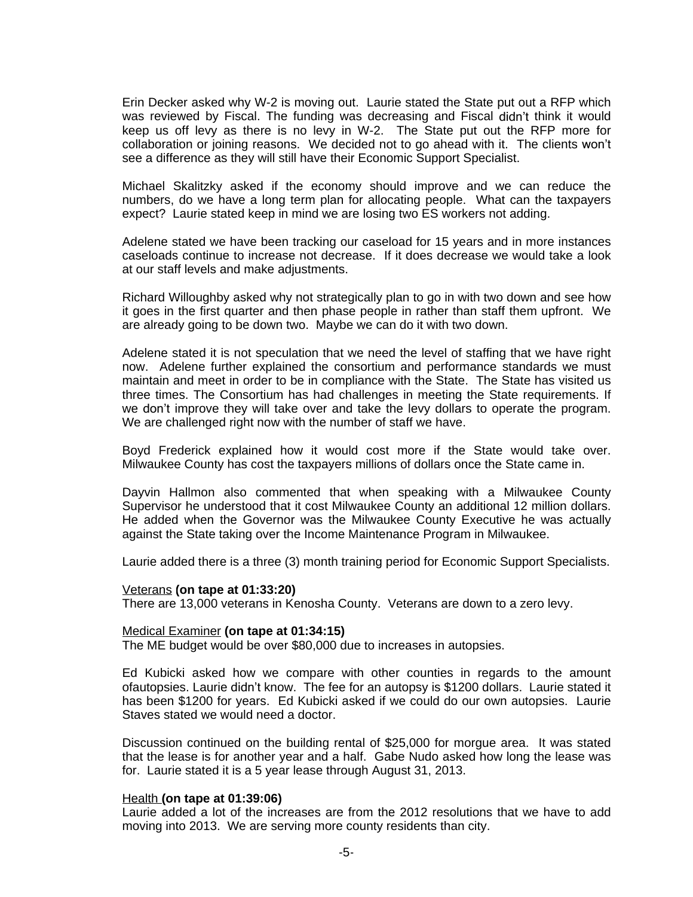Erin Decker asked why W-2 is moving out. Laurie stated the State put out a RFP which was reviewed by Fiscal. The funding was decreasing and Fiscal didn't think it would keep us off levy as there is no levy in W-2. The State put out the RFP more for collaboration or joining reasons. We decided not to go ahead with it. The clients won't see a difference as they will still have their Economic Support Specialist.

Michael Skalitzky asked if the economy should improve and we can reduce the numbers, do we have a long term plan for allocating people. What can the taxpayers expect? Laurie stated keep in mind we are losing two ES workers not adding.

Adelene stated we have been tracking our caseload for 15 years and in more instances caseloads continue to increase not decrease. If it does decrease we would take a look at our staff levels and make adjustments.

Richard Willoughby asked why not strategically plan to go in with two down and see how it goes in the first quarter and then phase people in rather than staff them upfront. We are already going to be down two. Maybe we can do it with two down.

Adelene stated it is not speculation that we need the level of staffing that we have right now. Adelene further explained the consortium and performance standards we must maintain and meet in order to be in compliance with the State. The State has visited us three times. The Consortium has had challenges in meeting the State requirements. If we don't improve they will take over and take the levy dollars to operate the program. We are challenged right now with the number of staff we have.

Boyd Frederick explained how it would cost more if the State would take over. Milwaukee County has cost the taxpayers millions of dollars once the State came in.

Dayvin Hallmon also commented that when speaking with a Milwaukee County Supervisor he understood that it cost Milwaukee County an additional 12 million dollars. He added when the Governor was the Milwaukee County Executive he was actually against the State taking over the Income Maintenance Program in Milwaukee.

Laurie added there is a three (3) month training period for Economic Support Specialists.

#### Veterans **(on tape at 01:33:20)**

There are 13,000 veterans in Kenosha County. Veterans are down to a zero levy.

#### Medical Examiner **(on tape at 01:34:15)**

The ME budget would be over \$80,000 due to increases in autopsies.

Ed Kubicki asked how we compare with other counties in regards to the amount ofautopsies. Laurie didn't know. The fee for an autopsy is \$1200 dollars. Laurie stated it has been \$1200 for years. Ed Kubicki asked if we could do our own autopsies. Laurie Staves stated we would need a doctor.

Discussion continued on the building rental of \$25,000 for morgue area. It was stated that the lease is for another year and a half. Gabe Nudo asked how long the lease was for. Laurie stated it is a 5 year lease through August 31, 2013.

#### Health **(on tape at 01:39:06)**

Laurie added a lot of the increases are from the 2012 resolutions that we have to add moving into 2013. We are serving more county residents than city.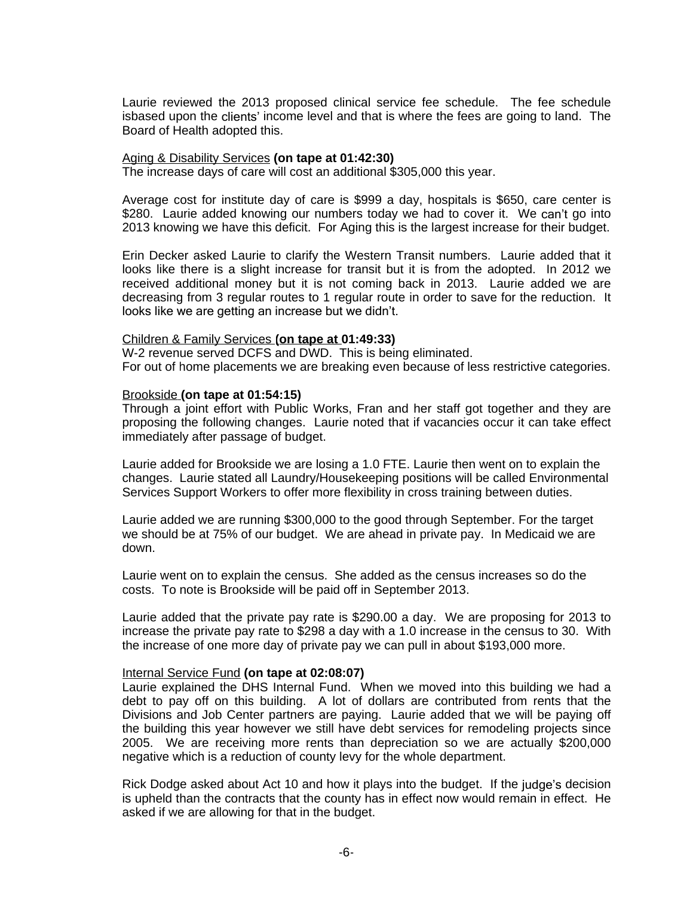Laurie reviewed the 2013 proposed clinical service fee schedule. The fee schedule isbased upon the clients' income level and that is where the fees are going to land. The Board of Health adopted this.

#### Aging & Disability Services **(on tape at 01:42:30)**

The increase days of care will cost an additional \$305,000 this year.

Average cost for institute day of care is \$999 a day, hospitals is \$650, care center is \$280. Laurie added knowing our numbers today we had to cover it. We can't go into 2013 knowing we have this deficit. For Aging this is the largest increase for their budget.

Erin Decker asked Laurie to clarify the Western Transit numbers. Laurie added that it looks like there is a slight increase for transit but it is from the adopted. In 2012 we received additional money but it is not coming back in 2013. Laurie added we are decreasing from 3 regular routes to 1 regular route in order to save for the reduction. It looks like we are getting an increase but we didn't.

## Children & Family Services **(on tape at 01:49:33)**

W-2 revenue served DCFS and DWD. This is being eliminated. For out of home placements we are breaking even because of less restrictive categories.

## Brookside **(on tape at 01:54:15)**

Through a joint effort with Public Works, Fran and her staff got together and they are proposing the following changes. Laurie noted that if vacancies occur it can take effect immediately after passage of budget.

Laurie added for Brookside we are losing a 1.0 FTE. Laurie then went on to explain the changes. Laurie stated all Laundry/Housekeeping positions will be called Environmental Services Support Workers to offer more flexibility in cross training between duties.

Laurie added we are running \$300,000 to the good through September. For the target we should be at 75% of our budget. We are ahead in private pay. In Medicaid we are down.

Laurie went on to explain the census. She added as the census increases so do the costs. To note is Brookside will be paid off in September 2013.

Laurie added that the private pay rate is \$290.00 a day. We are proposing for 2013 to increase the private pay rate to \$298 a day with a 1.0 increase in the census to 30. With the increase of one more day of private pay we can pull in about \$193,000 more.

## Internal Service Fund **(on tape at 02:08:07)**

Laurie explained the DHS Internal Fund. When we moved into this building we had a debt to pay off on this building. A lot of dollars are contributed from rents that the Divisions and Job Center partners are paying. Laurie added that we will be paying off the building this year however we still have debt services for remodeling projects since 2005. We are receiving more rents than depreciation so we are actually \$200,000 negative which is a reduction of county levy for the whole department.

Rick Dodge asked about Act 10 and how it plays into the budget. If the judge's decision is upheld than the contracts that the county has in effect now would remain in effect. He asked if we are allowing for that in the budget.